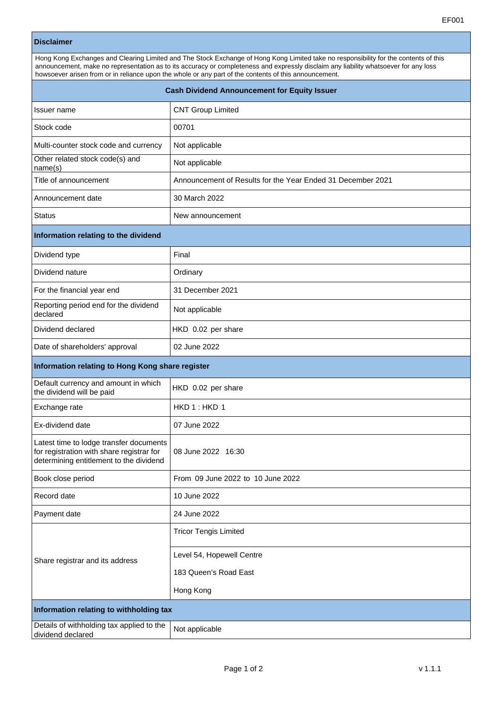## **Disclaimer**

| Hong Kong Exchanges and Clearing Limited and The Stock Exchange of Hong Kong Limited take no responsibility for the contents of this<br>announcement, make no representation as to its accuracy or completeness and expressly disclaim any liability whatsoever for any loss<br>howsoever arisen from or in reliance upon the whole or any part of the contents of this announcement. |  |
|---------------------------------------------------------------------------------------------------------------------------------------------------------------------------------------------------------------------------------------------------------------------------------------------------------------------------------------------------------------------------------------|--|
| <b>Cash Dividend Announcement for Equity Issuer</b>                                                                                                                                                                                                                                                                                                                                   |  |

| Issuer name                                                                                                                     | <b>CNT Group Limited</b>                                    |  |
|---------------------------------------------------------------------------------------------------------------------------------|-------------------------------------------------------------|--|
| Stock code                                                                                                                      | 00701                                                       |  |
| Multi-counter stock code and currency                                                                                           | Not applicable                                              |  |
| Other related stock code(s) and<br>name(s)                                                                                      | Not applicable                                              |  |
| Title of announcement                                                                                                           | Announcement of Results for the Year Ended 31 December 2021 |  |
| Announcement date                                                                                                               | 30 March 2022                                               |  |
| <b>Status</b>                                                                                                                   | New announcement                                            |  |
| Information relating to the dividend                                                                                            |                                                             |  |
| Dividend type                                                                                                                   | Final                                                       |  |
| Dividend nature                                                                                                                 | Ordinary                                                    |  |
| For the financial year end                                                                                                      | 31 December 2021                                            |  |
| Reporting period end for the dividend<br>declared                                                                               | Not applicable                                              |  |
| Dividend declared                                                                                                               | HKD 0.02 per share                                          |  |
| Date of shareholders' approval                                                                                                  | 02 June 2022                                                |  |
| Information relating to Hong Kong share register                                                                                |                                                             |  |
| Default currency and amount in which<br>the dividend will be paid                                                               | HKD 0.02 per share                                          |  |
| Exchange rate                                                                                                                   | HKD 1: HKD 1                                                |  |
| Ex-dividend date                                                                                                                | 07 June 2022                                                |  |
| Latest time to lodge transfer documents<br>for registration with share registrar for<br>determining entitlement to the dividend | 08 June 2022 16:30                                          |  |
| Book close period                                                                                                               | From 09 June 2022 to 10 June 2022                           |  |
| Record date                                                                                                                     | 10 June 2022                                                |  |
| Payment date                                                                                                                    | 24 June 2022                                                |  |
| Share registrar and its address                                                                                                 | <b>Tricor Tengis Limited</b>                                |  |
|                                                                                                                                 | Level 54, Hopewell Centre                                   |  |
|                                                                                                                                 | 183 Queen's Road East                                       |  |
|                                                                                                                                 | Hong Kong                                                   |  |
| Information relating to withholding tax                                                                                         |                                                             |  |
| Details of withholding tax applied to the<br>dividend declared                                                                  | Not applicable                                              |  |